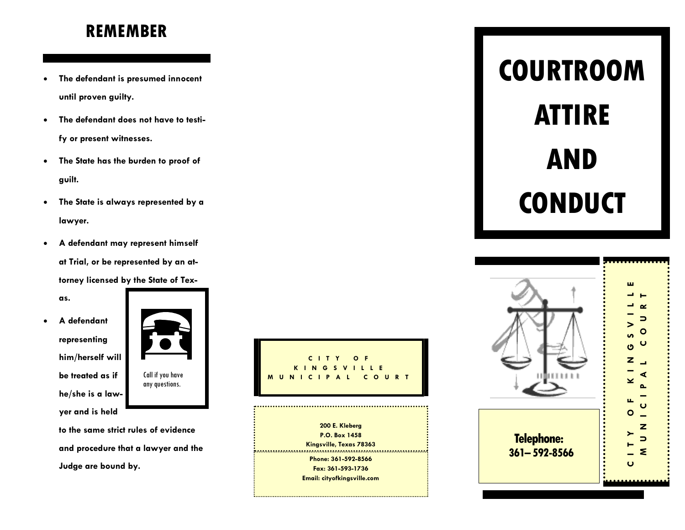# **REMEMBER**

- **The defendant is presumed innocent until proven guilty.**
- **The defendant does not have to testify or present witnesses.**
- **The State has the burden to proof of guilt.**
- **The State is always represented by a lawyer.**
- **A defendant may represent himself at Trial, or be represented by an attorney licensed by the State of Tex-**

**as.**

 **A defendant representing him/herself will be treated as if he/she is a lawyer and is held** 



**to the same strict rules of evidence and procedure that a lawyer and the Judge are bound by.**



**Kingsville, Texas 78363 Phone: 361 -592 -8566 Fax: 361 -593 -1736 Email: cityofkingsville.com**

# **COURTROOM ATTIRE AND CONDUCT**